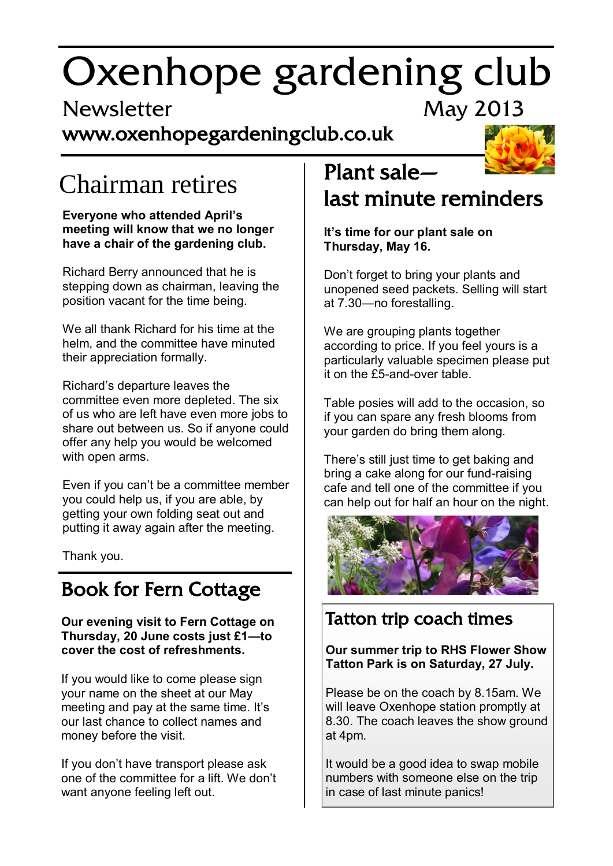# Oxenhope gardening club

# Newsletter May 2013

## www.oxenhopegardeningclub.co.uk



# Chairman retires

#### **Everyone who attended April's meeting will know that we no longer have a chair of the gardening club.**

Richard Berry announced that he is stepping down as chairman, leaving the position vacant for the time being.

We all thank Richard for his time at the helm, and the committee have minuted their appreciation formally.

Richard's departure leaves the committee even more depleted. The six of us who are left have even more jobs to share out between us. So if anyone could offer any help you would be welcomed with open arms.

Even if you can't be a committee member you could help us, if you are able, by getting your own folding seat out and putting it away again after the meeting.

Thank you.

# Book for Fern Cottage

**Our evening visit to Fern Cottage on Thursday, 20 June costs just £1—to cover the cost of refreshments.** 

If you would like to come please sign your name on the sheet at our May meeting and pay at the same time. It's our last chance to collect names and money before the visit.

If you don't have transport please ask one of the committee for a lift. We don't want anyone feeling left out.

# Plant sale—

# last minute reminders

**It's time for our plant sale on Thursday, May 16.**

Don't forget to bring your plants and unopened seed packets. Selling will start at 7.30—no forestalling.

We are grouping plants together according to price. If you feel yours is a particularly valuable specimen please put it on the £5-and-over table.

Table posies will add to the occasion, so if you can spare any fresh blooms from your garden do bring them along.

There's still just time to get baking and bring a cake along for our fund-raising cafe and tell one of the committee if you can help out for half an hour on the night.



### Tatton trip coach times

**Our summer trip to RHS Flower Show Tatton Park is on Saturday, 27 July.**

Please be on the coach by 8.15am. We will leave Oxenhope station promptly at 8.30. The coach leaves the show ground at 4pm.

It would be a good idea to swap mobile numbers with someone else on the trip in case of last minute panics!